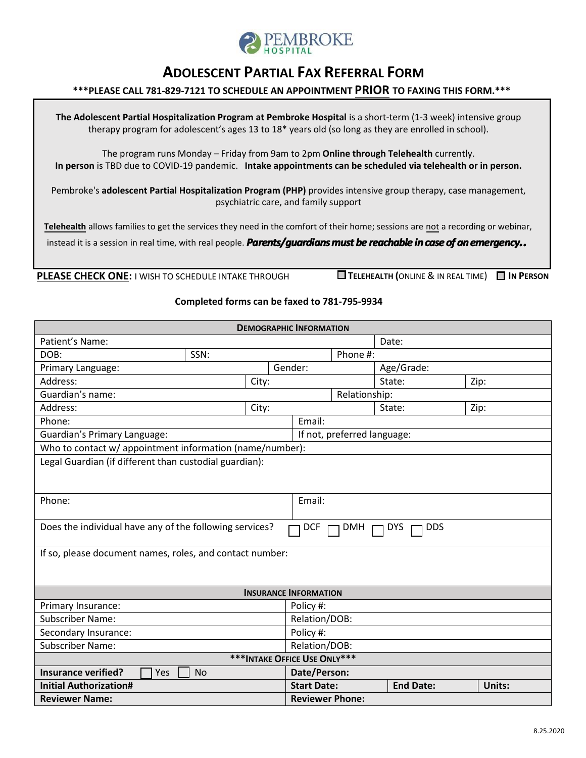

## **ADOLESCENT PARTIAL FAX REFERRAL FORM**

## **\*\*\*PLEASE CALL 781-829-7121 TO SCHEDULE AN APPOINTMENT PRIOR TO FAXING THIS FORM.\*\*\***

**The Adolescent Partial Hospitalization Program at Pembroke Hospital** is a short-term (1-3 week) intensive group therapy program for adolescent's ages 13 to 18\* years old (so long as they are enrolled in school).

The program runs Monday – Friday from 9am to 2pm **Online through Telehealth** currently. **In person** is TBD due to COVID-19 pandemic. **Intake appointments can be scheduled via telehealth or in person.** 

Pembroke's **adolescent Partial Hospitalization Program (PHP)** provides intensive group therapy, case management, psychiatric care, and family support

**Telehealth** allows families to get the services they need in the comfort of their home; sessions are not a recording or webinar,

instead it is a session in real time, with real people. *Parents/guardians must be reachable in case of an emergency..* 

**PLEASE CHECK ONE:** I WISH TO SCHEDULE INTAKE THROUGH **TELEHEALTH (**ONLINE & IN REAL TIME) **IN PERSON**

## **Completed forms can be faxed to 781-795-9934**

| <b>DEMOGRAPHIC INFORMATION</b>                                                                                  |         |                        |                             |                  |        |  |
|-----------------------------------------------------------------------------------------------------------------|---------|------------------------|-----------------------------|------------------|--------|--|
| Patient's Name:                                                                                                 |         |                        |                             | Date:            |        |  |
| SSN:<br>DOB:                                                                                                    |         |                        | Phone #:                    |                  |        |  |
| Primary Language:                                                                                               | Gender: |                        |                             | Age/Grade:       |        |  |
| Address:                                                                                                        | City:   |                        |                             | State:<br>Zip:   |        |  |
| Guardian's name:                                                                                                |         |                        | Relationship:               |                  |        |  |
| Address:<br>City:                                                                                               |         |                        |                             | Zip:<br>State:   |        |  |
| Phone:                                                                                                          |         |                        | Email:                      |                  |        |  |
| <b>Guardian's Primary Language:</b>                                                                             |         |                        | If not, preferred language: |                  |        |  |
| Who to contact w/ appointment information (name/number):                                                        |         |                        |                             |                  |        |  |
| Legal Guardian (if different than custodial guardian):                                                          |         |                        |                             |                  |        |  |
|                                                                                                                 |         |                        |                             |                  |        |  |
|                                                                                                                 |         |                        |                             |                  |        |  |
| Phone:                                                                                                          |         | Email:                 |                             |                  |        |  |
|                                                                                                                 |         |                        |                             |                  |        |  |
| Does the individual have any of the following services?<br><b>DDS</b><br><b>DCF</b><br><b>DMH</b><br><b>DYS</b> |         |                        |                             |                  |        |  |
|                                                                                                                 |         |                        |                             |                  |        |  |
| If so, please document names, roles, and contact number:                                                        |         |                        |                             |                  |        |  |
|                                                                                                                 |         |                        |                             |                  |        |  |
|                                                                                                                 |         |                        |                             |                  |        |  |
| <b>INSURANCE INFORMATION</b>                                                                                    |         |                        |                             |                  |        |  |
| Primary Insurance:                                                                                              |         | Policy #:              |                             |                  |        |  |
| <b>Subscriber Name:</b>                                                                                         |         |                        | Relation/DOB:               |                  |        |  |
| Secondary Insurance:                                                                                            |         | Policy #:              |                             |                  |        |  |
| <b>Subscriber Name:</b><br>Relation/DOB:                                                                        |         |                        |                             |                  |        |  |
| *** INTAKE OFFICE USE ONLY***                                                                                   |         |                        |                             |                  |        |  |
| <b>Insurance verified?</b><br><b>No</b><br>Yes                                                                  |         | Date/Person:           |                             |                  |        |  |
| <b>Initial Authorization#</b>                                                                                   |         | <b>Start Date:</b>     |                             | <b>End Date:</b> | Units: |  |
| <b>Reviewer Name:</b>                                                                                           |         | <b>Reviewer Phone:</b> |                             |                  |        |  |